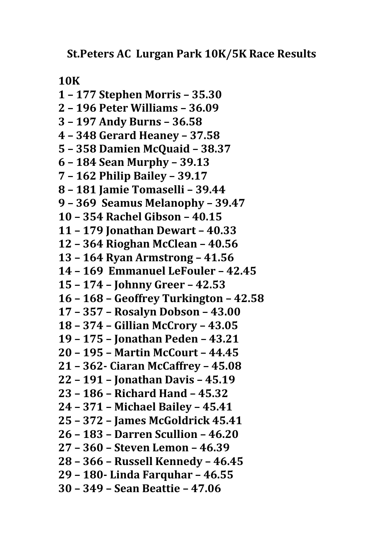**St.Peters AC Lurgan Park 10K/5K Race Results**

**10K** 

**1 – 177 Stephen Morris – 35.30 2 – 196 Peter Williams – 36.09 3 – 197 Andy Burns – 36.58 4 – 348 Gerard Heaney – 37.58 5 – 358 Damien McQuaid – 38.37 6 – 184 Sean Murphy – 39.13 7 – 162 Philip Bailey – 39.17 8 – 181 Jamie Tomaselli – 39.44 9 – 369 Seamus Melanophy – 39.47 10 – 354 Rachel Gibson – 40.15 11 – 179 Jonathan Dewart – 40.33 12 – 364 Rioghan McClean – 40.56 13 – 164 Ryan Armstrong – 41.56 14 – 169 Emmanuel LeFouler – 42.45 15 – 174 – Johnny Greer – 42.53 16 – 168 – Geoffrey Turkington – 42.58 17 – 357 – Rosalyn Dobson – 43.00 18 – 374 – Gillian McCrory – 43.05 19 – 175 – Jonathan Peden – 43.21 20 – 195 – Martin McCourt – 44.45 21 – 362‐ Ciaran McCaffrey – 45.08 22 – 191 – Jonathan Davis – 45.19 23 – 186 – Richard Hand – 45.32 24 – 371 – Michael Bailey – 45.41 25 – 372 – James McGoldrick 45.41 26 – 183 – Darren Scullion – 46.20 27 – 360 – Steven Lemon – 46.39 28 – 366 – Russell Kennedy – 46.45 29 – 180‐ Linda Farquhar – 46.55 30 – 349 – Sean Beattie – 47.06**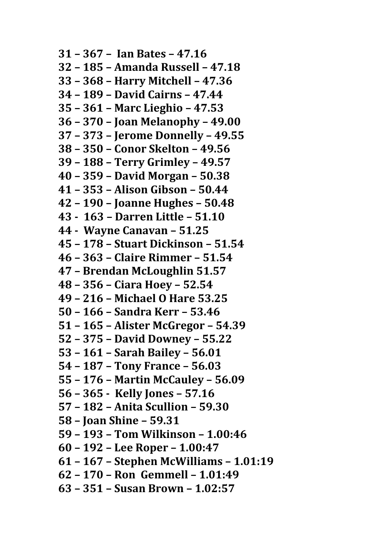**31 – 367 – Ian Bates – 47.16 32 – 185 – Amanda Russell – 47.18 33 – 368 – Harry Mitchell – 47.36 34 – 189 – David Cairns – 47.44 35 – 361 – Marc Lieghio – 47.53 36 – 370 – Joan Melanophy – 49.00 37 – 373 – Jerome Donnelly – 49.55 38 – 350 – Conor Skelton – 49.56 39 – 188 – Terry Grimley – 49.57 40 – 359 – David Morgan – 50.38 41 – 353 – Alison Gibson – 50.44 42 – 190 – Joanne Hughes – 50.48 43 ‐ 163 – Darren Little – 51.10 44 ‐ Wayne Canavan – 51.25 45 – 178 – Stuart Dickinson – 51.54 46 – 363 – Claire Rimmer – 51.54 47 – Brendan McLoughlin 51.57 48 – 356 – Ciara Hoey – 52.54 49 – 216 – Michael O Hare 53.25 50 – 166 – Sandra Kerr – 53.46 51 – 165 – Alister McGregor – 54.39 52 – 375 – David Downey – 55.22 53 – 161 – Sarah Bailey – 56.01 54 – 187 – Tony France – 56.03 55 – 176 – Martin McCauley – 56.09 56 – 365 ‐ Kelly Jones – 57.16 57 – 182 – Anita Scullion – 59.30 58 – Joan Shine – 59.31 59 – 193 – Tom Wilkinson – 1.00:46 60 – 192 – Lee Roper – 1.00:47 61 – 167 – Stephen McWilliams – 1.01:19 62 – 170 – Ron Gemmell – 1.01:49 63 – 351 – Susan Brown – 1.02:57**